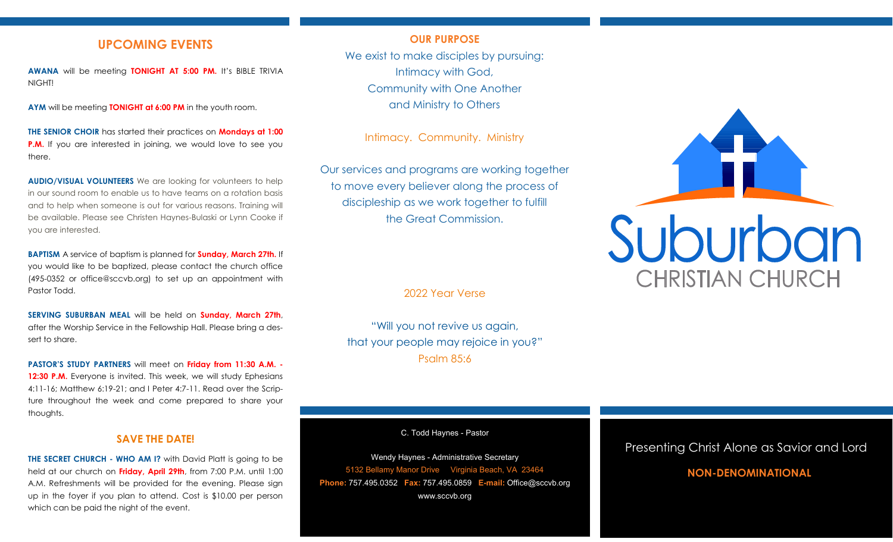### **UPCOMING EVENTS**

**AWANA** will be meeting **TONIGHT AT 5:00 PM.** It's BIBLE TRIVIA NIGHT!

**AYM** will be meeting **TONIGHT at 6:00 PM** in the youth room.

**THE SENIOR CHOIR** has started their practices on **Mondays at 1:00 P.M.** If you are interested in joining, we would love to see you there.

**AUDIO/VISUAL VOLUNTEERS** We are looking for volunteers to help in our sound room to enable us to have teams on a rotation basis and to help when someone is out for various reasons. Training will be available. Please see Christen Haynes-Bulaski or Lynn Cooke if you are interested.

**BAPTISM** A service of baptism is planned for **Sunday, March 27th.** If you would like to be baptized, please contact the church office (495-0352 or office@sccvb.org) to set up an appointment with Pastor Todd.

**SERVING SUBURBAN MEAL** will be held on **Sunday, March 27th**, after the Worship Service in the Fellowship Hall. Please bring a dessert to share.

**PASTOR'S STUDY PARTNERS** will meet on **Friday from 11:30 A.M. - 12:30 P.M.** Everyone is invited. This week, we will study Ephesians 4:11-16; Matthew 6:19-21; and I Peter 4:7-11. Read over the Scripture throughout the week and come prepared to share your thoughts.

#### **SAVE THE DATE!**

**THE SECRET CHURCH - WHO AM I?** with David Platt is going to be held at our church on **Friday, April 29th**, from 7:00 P.M. until 1:00 A.M. Refreshments will be provided for the evening. Please sign up in the foyer if you plan to attend. Cost is \$10.00 per person which can be paid the night of the event.

#### **OUR PURPOSE**

We exist to make disciples by pursuing: Intimacy with God, Community with One Another and Ministry to Others

Intimacy. Community. Ministry

Our services and programs are working together to move every believer along the process of discipleship as we work together to fulfill the Great Commission.

2022 Year Verse

"Will you not revive us again, that your people may rejoice in you?" Psalm 85:6

C. Todd Haynes - Pastor

Wendy Haynes - Administrative Secretary 5132 Bellamy Manor Drive Virginia Beach, VA 23464 **Phone:** 757.495.0352 **Fax:** 757.495.0859 **E-mail:** Office@sccvb.org www.sccvb.org



#### Presenting Christ Alone as Savior and Lord

### **NON-DENOMINATIONAL**